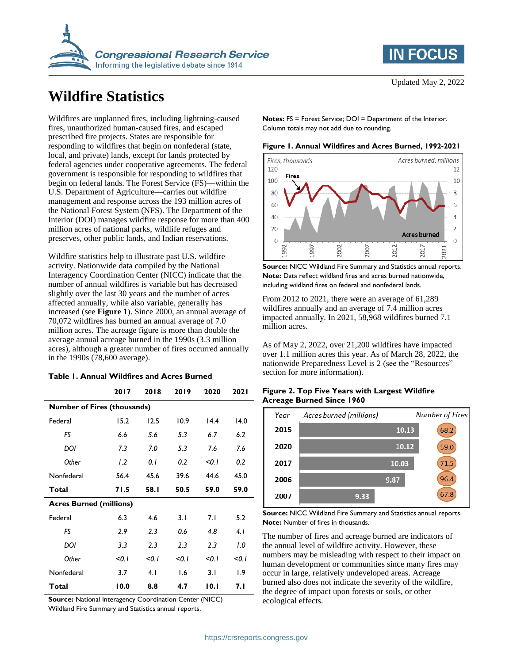

# **Wildfire Statistics**

Wildfires are unplanned fires, including lightning-caused fires, unauthorized human-caused fires, and escaped prescribed fire projects. States are responsible for responding to wildfires that begin on nonfederal (state, local, and private) lands, except for lands protected by federal agencies under cooperative agreements. The federal government is responsible for responding to wildfires that begin on federal lands. The Forest Service (FS)—within the U.S. Department of Agriculture—carries out wildfire management and response across the 193 million acres of the National Forest System (NFS). The Department of the Interior (DOI) manages wildfire response for more than 400 million acres of national parks, wildlife refuges and preserves, other public lands, and Indian reservations.

Wildfire statistics help to illustrate past U.S. wildfire activity. Nationwide data compiled by the National Interagency Coordination Center (NICC) indicate that the number of annual wildfires is variable but has decreased slightly over the last 30 years and the number of acres affected annually, while also variable, generally has increased (see **[Figure 1](#page-0-0)**). Since 2000, an annual average of 70,072 wildfires has burned an annual average of 7.0 million acres. The acreage figure is more than double the average annual acreage burned in the 1990s (3.3 million acres), although a greater number of fires occurred annually in the 1990s (78,600 average).

<span id="page-0-1"></span>

| <b>Table 1. Annual Wildfires and Acres Burned</b> |  |  |  |
|---------------------------------------------------|--|--|--|
|---------------------------------------------------|--|--|--|

|                                | 2017                               | 2018  | 2019  | 2020  | 2021  |  |  |
|--------------------------------|------------------------------------|-------|-------|-------|-------|--|--|
|                                | <b>Number of Fires (thousands)</b> |       |       |       |       |  |  |
| Federal                        | 15.2                               | 12.5  | 10.9  | 14.4  | 14.0  |  |  |
| FS                             | 6.6                                | 5.6   | 5.3   | 6.7   | 6.2   |  |  |
| DOI                            | 7.3                                | 7.0   | 5.3   | 7.6   | 7.6   |  |  |
| Other                          | 1.2                                | 0. I  | 0.2   | < 0.1 | 0.2   |  |  |
| Nonfederal                     | 56.4                               | 45.6  | 39.6  | 44.6  | 45.0  |  |  |
| Total                          | 71.5                               | 58.I  | 50.5  | 59.0  | 59.0  |  |  |
| <b>Acres Burned (millions)</b> |                                    |       |       |       |       |  |  |
| Federal                        | 6.3                                | 4.6   | 3.1   | 7.1   | 5.2   |  |  |
| FS                             | 2.9                                | 2.3   | 0.6   | 4.8   | 4.1   |  |  |
| DOI                            | 3.3                                | 2.3   | 2.3   | 2.3   | 1.0   |  |  |
| Other                          | < 0.1                              | < 0.1 | < 0.1 | < 0.1 | < 0.1 |  |  |
| Nonfederal                     | 3.7                                | 4.1   | 1.6   | 3.1   | 1.9   |  |  |
| Total                          | 10.0                               | 8.8   | 4.7   | 10.1  | 7. I  |  |  |

**Source:** National Interagency Coordination Center (NICC)

Wildland Fire Summary and Statistics annual reports.

**Notes: FS = Forest Service; DOI = Department of the Interior.** Column totals may not add due to rounding.

<span id="page-0-0"></span>**Figure 1. Annual Wildfires and Acres Burned, 1992-2021**



**Source:** NICC Wildland Fire Summary and Statistics annual reports. **Note:** Data reflect wildland fires and acres burned nationwide, including wildland fires on federal and nonfederal lands.

From 2012 to 2021, there were an average of 61,289 wildfires annually and an average of 7.4 million acres impacted annually. In 2021, 58,968 wildfires burned 7.1 million acres.

As of May 2, 2022, over 21,200 wildfires have impacted over 1.1 million acres this year. As of March 28, 2022, the nationwide Preparedness Level is 2 (see the ["Resources"](#page-1-0) section for more information).

|  | Figure 2. Top Five Years with Largest Wildfire |  |
|--|------------------------------------------------|--|
|  | <b>Acreage Burned Since 1960</b>               |  |



**Source:** NICC Wildland Fire Summary and Statistics annual reports. **Note:** Number of fires in thousands.

The number of fires and acreage burned are indicators of the annual level of wildfire activity. However, these numbers may be misleading with respect to their impact on human development or communities since many fires may occur in large, relatively undeveloped areas. Acreage burned also does not indicate the severity of the wildfire, the degree of impact upon forests or soils, or other ecological effects.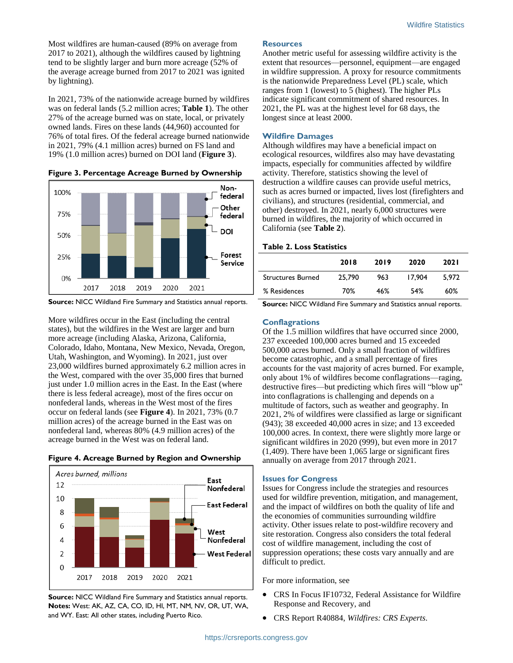Most wildfires are human-caused (89% on average from 2017 to 2021), although the wildfires caused by lightning tend to be slightly larger and burn more acreage (52% of the average acreage burned from 2017 to 2021 was ignited by lightning).

In 2021, 73% of the nationwide acreage burned by wildfires was on federal lands (5.2 million acres; **[Table 1](#page-0-1)**). The other 27% of the acreage burned was on state, local, or privately owned lands. Fires on these lands (44,960) accounted for 76% of total fires. Of the federal acreage burned nationwide in 2021, 79% (4.1 million acres) burned on FS land and 19% (1.0 million acres) burned on DOI land (**[Figure 3](#page-1-1)**).

<span id="page-1-1"></span>





More wildfires occur in the East (including the central states), but the wildfires in the West are larger and burn more acreage (including Alaska, Arizona, California, Colorado, Idaho, Montana, New Mexico, Nevada, Oregon, Utah, Washington, and Wyoming). In 2021, just over 23,000 wildfires burned approximately 6.2 million acres in the West, compared with the over 35,000 fires that burned just under 1.0 million acres in the East. In the East (where there is less federal acreage), most of the fires occur on nonfederal lands, whereas in the West most of the fires occur on federal lands (see **[Figure 4](#page-1-2)**). In 2021, 73% (0.7 million acres) of the acreage burned in the East was on nonfederal land, whereas 80% (4.9 million acres) of the acreage burned in the West was on federal land.

<span id="page-1-2"></span>



**Source:** NICC Wildland Fire Summary and Statistics annual reports. **Notes:** West: AK, AZ, CA, CO, ID, HI, MT, NM, NV, OR, UT, WA, and WY. East: All other states, including Puerto Rico.

# <span id="page-1-0"></span>**Resources**

Another metric useful for assessing wildfire activity is the extent that resources—personnel, equipment—are engaged in wildfire suppression. A proxy for resource commitments is the nationwide Preparedness Level (PL) scale, which ranges from 1 (lowest) to 5 (highest). The higher PLs indicate significant commitment of shared resources. In 2021, the PL was at the highest level for 68 days, the longest since at least 2000.

### **Wildfire Damages**

Although wildfires may have a beneficial impact on ecological resources, wildfires also may have devastating impacts, especially for communities affected by wildfire activity. Therefore, statistics showing the level of destruction a wildfire causes can provide useful metrics, such as acres burned or impacted, lives lost (firefighters and civilians), and structures (residential, commercial, and other) destroyed. In 2021, nearly 6,000 structures were burned in wildfires, the majority of which occurred in California (see **[Table 2](#page-1-3)**).

#### <span id="page-1-3"></span>**Table 2. Loss Statistics**

|                          | 2018   | 2019 | 2020   | <b>2021</b> |
|--------------------------|--------|------|--------|-------------|
| <b>Structures Burned</b> | 25,790 | 963  | 17.904 | 5.972       |
| % Residences             | 70%    | 46%  | 54%    | 60%         |

**Source:** NICC Wildland Fire Summary and Statistics annual reports.

#### **Conflagrations**

Of the 1.5 million wildfires that have occurred since 2000, 237 exceeded 100,000 acres burned and 15 exceeded 500,000 acres burned. Only a small fraction of wildfires become catastrophic, and a small percentage of fires accounts for the vast majority of acres burned. For example, only about 1% of wildfires become conflagrations—raging, destructive fires—but predicting which fires will "blow up" into conflagrations is challenging and depends on a multitude of factors, such as weather and geography. In 2021, 2% of wildfires were classified as large or significant (943); 38 exceeded 40,000 acres in size; and 13 exceeded 100,000 acres. In context, there were slightly more large or significant wildfires in 2020 (999), but even more in 2017 (1,409). There have been 1,065 large or significant fires annually on average from 2017 through 2021.

# **Issues for Congress**

Issues for Congress include the strategies and resources used for wildfire prevention, mitigation, and management, and the impact of wildfires on both the quality of life and the economies of communities surrounding wildfire activity. Other issues relate to post-wildfire recovery and site restoration. Congress also considers the total federal cost of wildfire management, including the cost of suppression operations; these costs vary annually and are difficult to predict.

#### For more information, see

- CRS In Focus IF10732, Federal Assistance for Wildfire Response and Recovery, and
- CRS Report R40884, *Wildfires: CRS Experts*.